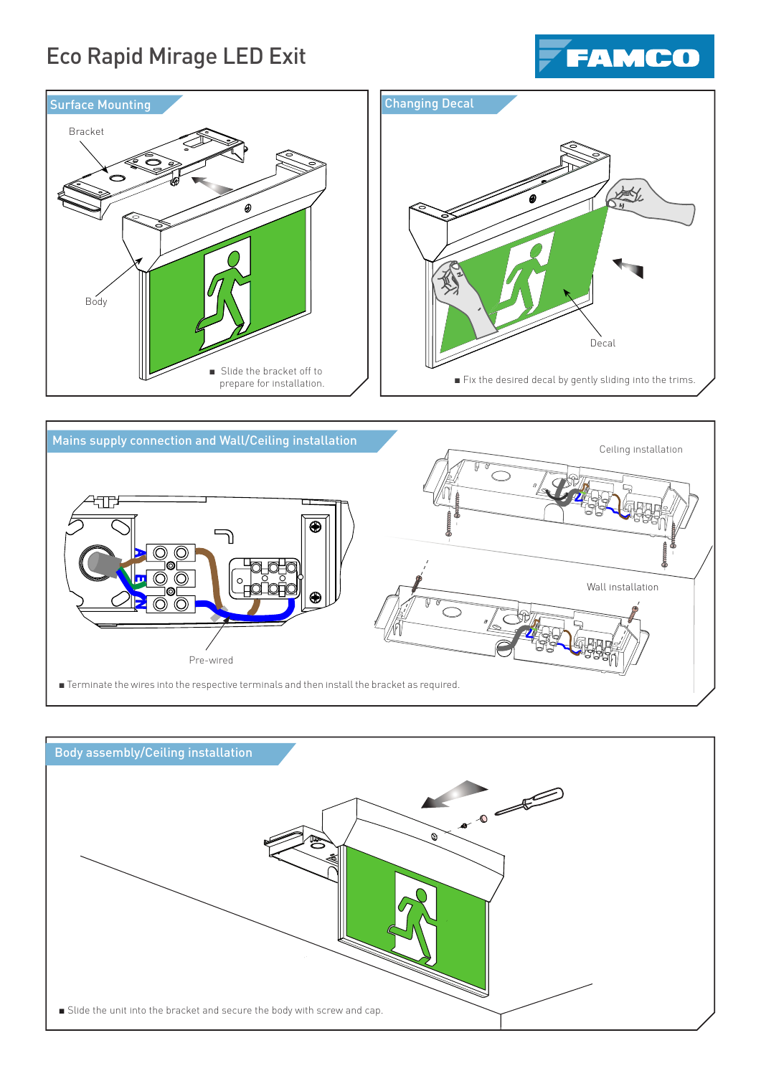# Eco Rapid Mirage LED Exit







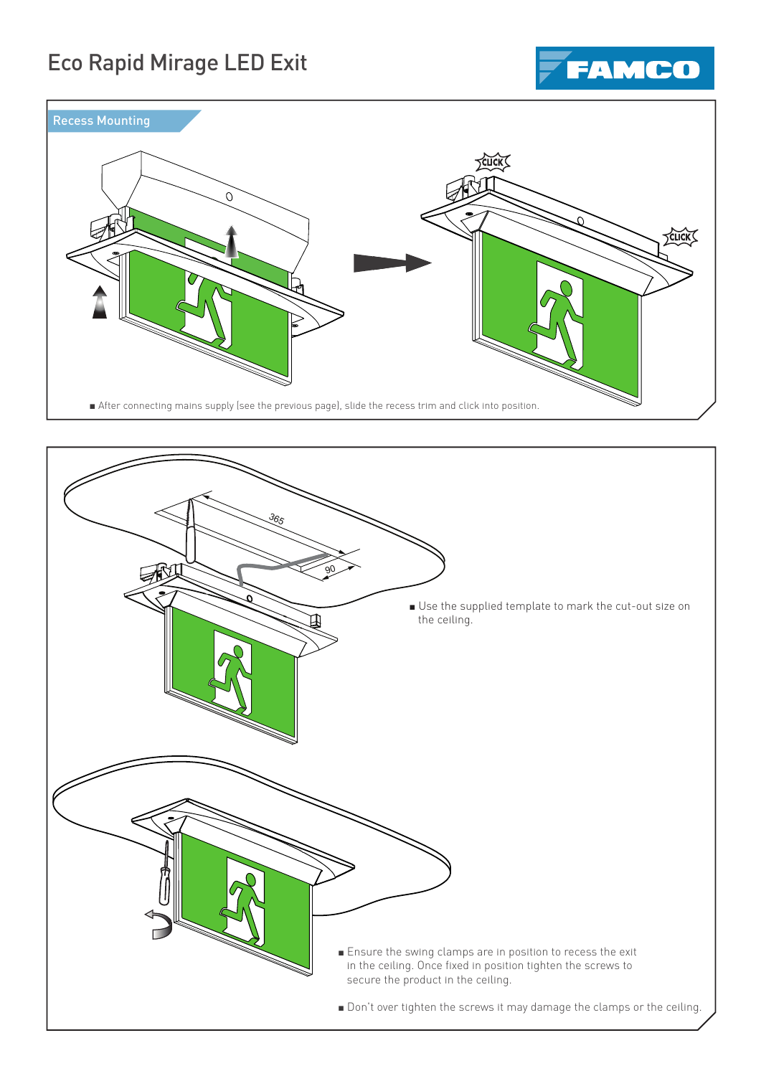# Eco Rapid Mirage LED Exit